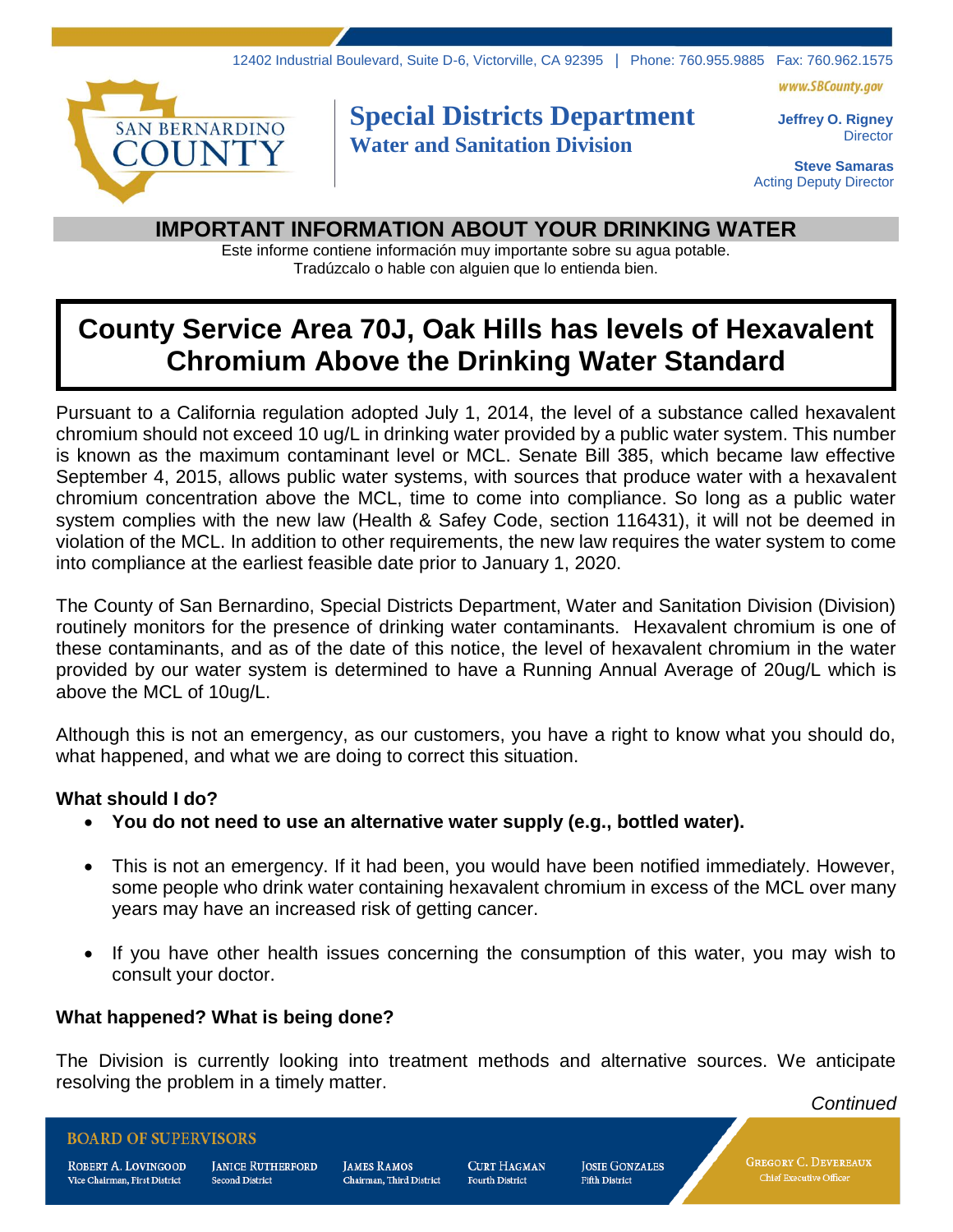



## **Special Districts Department Water and Sanitation Division**

**Jeffrey O. Rigney Director** 

**Steve Samaras** Acting Deputy Director

### **IMPORTANT INFORMATION ABOUT YOUR DRINKING WATER**

Este informe contiene información muy importante sobre su agua potable. Tradúzcalo o hable con alguien que lo entienda bien.

# **County Service Area 70J, Oak Hills has levels of Hexavalent Chromium Above the Drinking Water Standard**

Pursuant to a California regulation adopted July 1, 2014, the level of a substance called hexavalent chromium should not exceed 10 ug/L in drinking water provided by a public water system. This number is known as the maximum contaminant level or MCL. Senate Bill 385, which became law effective September 4, 2015, allows public water systems, with sources that produce water with a hexavalent chromium concentration above the MCL, time to come into compliance. So long as a public water system complies with the new law (Health & Safey Code, section 116431), it will not be deemed in violation of the MCL. In addition to other requirements, the new law requires the water system to come into compliance at the earliest feasible date prior to January 1, 2020.

The County of San Bernardino, Special Districts Department, Water and Sanitation Division (Division) routinely monitors for the presence of drinking water contaminants. Hexavalent chromium is one of these contaminants, and as of the date of this notice, the level of hexavalent chromium in the water provided by our water system is determined to have a Running Annual Average of 20ug/L which is above the MCL of 10ug/L.

Although this is not an emergency, as our customers, you have a right to know what you should do, what happened, and what we are doing to correct this situation.

### **What should I do?**

- **You do not need to use an alternative water supply (e.g., bottled water).**
- This is not an emergency. If it had been, you would have been notified immediately. However, some people who drink water containing hexavalent chromium in excess of the MCL over many years may have an increased risk of getting cancer.
- If you have other health issues concerning the consumption of this water, you may wish to consult your doctor.

### **What happened? What is being done?**

The Division is currently looking into treatment methods and alternative sources. We anticipate resolving the problem in a timely matter.

*Continued*

#### **BOARD OF SUPERVISORS**

ROBERT A. LOVINGOOD Vice Chairman, First District

**JANICE RUTHERFORD Second District** 

**JAMES RAMOS** Chairman, Third District CURT HAGMAN **Fourth District** 

**JOSIE GONZALES** .<br>Fifth District

**GREGORY C. DEVEREAUX**